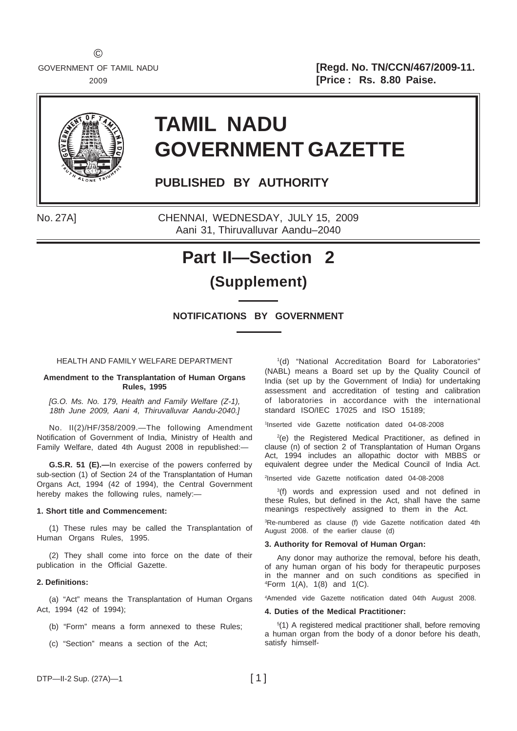GOVERNMENT OF TAMIL NADU **and Solution 19 and Solution 19 and Solution 19 and Solution 19 and TRICCOM/467/2009-11.** 2009 **[Price : Rs. 8.80 Paise.**



# **TAMIL NADU GOVERNMENT GAZETTE**

**PUBLISHED BY AUTHORITY**

No. 27A] CHENNAI, WEDNESDAY, JULY 15, 2009 Aani 31, Thiruvalluvar Aandu–2040

# **Part II—Section 2**

## **(Supplement)**

**NOTIFICATIONS BY GOVERNMENT**

HEALTH AND FAMILY WELFARE DEPARTMENT

## **Amendment to the Transplantation of Human Organs Rules, 1995**

*[G.O. Ms. No. 179, Health and Family Welfare (Z-1), 18th June 2009, Aani 4, Thiruvalluvar Aandu-2040.]*

No. II(2)/HF/358/2009.—The following Amendment Notification of Government of India, Ministry of Health and Family Welfare, dated 4th August 2008 in republished:—

**G.S.R. 51 (E).—**In exercise of the powers conferred by sub-section (1) of Section 24 of the Transplantation of Human Organs Act, 1994 (42 of 1994), the Central Government hereby makes the following rules, namely:—

## **1. Short title and Commencement:**

(1) These rules may be called the Transplantation of Human Organs Rules, 1995.

(2) They shall come into force on the date of their publication in the Official Gazette.

## **2. Definitions:**

(a) "Act" means the Transplantation of Human Organs Act, 1994 (42 of 1994);

- (b) "Form" means a form annexed to these Rules;
- (c) "Section" means a section of the Act;

1 (d) "National Accreditation Board for Laboratories" (NABL) means a Board set up by the Quality Council of India (set up by the Government of India) for undertaking assessment and accreditation of testing and calibration of laboratories in accordance with the international standard ISO/IEC 17025 and ISO 15189;

1 Inserted vide Gazette notification dated 04-08-2008

2 (e) the Registered Medical Practitioner, as defined in clause (n) of section 2 of Transplantation of Human Organs Act, 1994 includes an allopathic doctor with MBBS or equivalent degree under the Medical Council of India Act.

2 Inserted vide Gazette notification dated 04-08-2008

<sup>3</sup>(f) words and expression used and not defined in these Rules, but defined in the Act, shall have the same meanings respectively assigned to them in the Act.

3 Re-numbered as clause (f) vide Gazette notification dated 4th August 2008. of the earlier clause (d)

#### **3. Authority for Removal of Human Organ:**

Any donor may authorize the removal, before his death, of any human organ of his body for therapeutic purposes in the manner and on such conditions as specified in 4 Form 1(A), 1(8) and 1(C).

4 Amended vide Gazette notification dated 04th August 2008.

#### **4. Duties of the Medical Practitioner:**

5 (1) A registered medical practitioner shall, before removing a human organ from the body of a donor before his death. satisfy himself-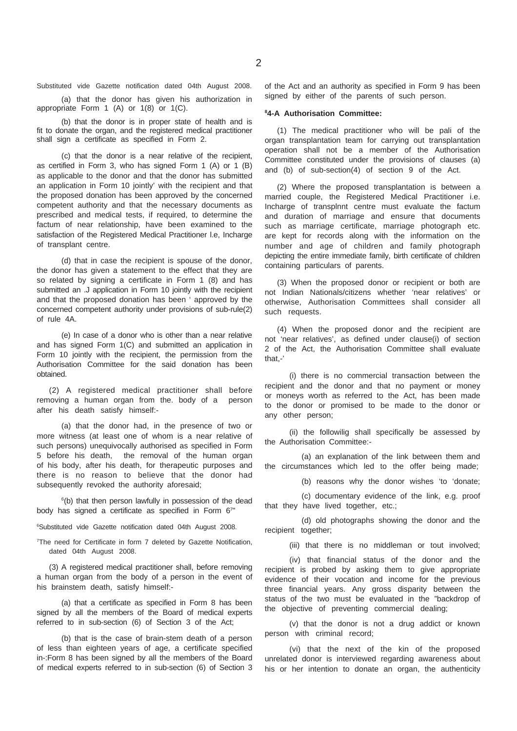(a) that the donor has given his authorization in appropriate Form 1 (A) or 1(8) or 1(C).

(b) that the donor is in proper state of health and is fit to donate the organ, and the registered medical practitioner shall sign a certificate as specified in Form 2.

(c) that the donor is a near relative of the recipient, as certified in Form 3, who has signed Form 1 (A) or 1 (B) as applicable to the donor and that the donor has submitted an application in Form 10 jointly' with the recipient and that the proposed donation has been approved by the concerned competent authority and that the necessary documents as prescribed and medical tests, if required, to determine the factum of near relationship, have been examined to the satisfaction of the Registered Medical Practitioner l.e, Incharge of transplant centre.

(d) that in case the recipient is spouse of the donor, the donor has given a statement to the effect that they are so related by signing a certificate in Form 1 (8) and has submitted an .J application in Form 10 jointly with the recipient and that the proposed donation has been ' approved by the concerned competent authority under provisions of sub-rule(2) of rule 4A.

(e) In case of a donor who is other than a near relative and has signed Form 1(C) and submitted an application in Form 10 jointly with the recipient, the permission from the Authorisation Committee for the said donation has been obtained.

(2) A registered medical practitioner shall before removing a human organ from the. body of a person after his death satisfy himself:-

(a) that the donor had, in the presence of two or more witness (at least one of whom is a near relative of such persons) unequivocally authorised as specified in Form 5 before his death, the removal of the human organ of his body, after his death, for therapeutic purposes and there is no reason to believe that the donor had subsequently revoked the authority aforesaid;

<sup>6</sup>(b) that then person lawfully in possession of the dead body has signed a certificate as specified in Form 67"

6 Substituted vide Gazette notification dated 04th August 2008.

<sup>7</sup>The need for Certificate in form 7 deleted by Gazette Notification, dated 04th August 2008.

(3) A registered medical practitioner shall, before removing a human organ from the body of a person in the event of his brainstem death, satisfy himself:-

(a) that a certificate as specified in Form 8 has been signed by all the members of the Board of medical experts referred to in sub-section (6) of Section 3 of the Act;

(b) that is the case of brain-stem death of a person of less than eighteen years of age, a certificate specified in-:Form 8 has been signed by all the members of the Board of medical experts referred to in sub-section (6) of Section 3

#### **8 4-A Authorisation Committee:**

(1) The medical practitioner who will be pali of the organ transplantation team for carrying out transplantation operation shall not be a member of the Authorisation Committee constituted under the provisions of clauses (a) and (b) of sub-section(4) of section 9 of the Act.

(2) Where the proposed transplantation is between a married couple, the Registered Medical Practitioner i.e. Incharge of transplnnt centre must evaluate the factum and duration of marriage and ensure that documents such as marriage certificate, marriage photograph etc. are kept for records along with the information on the number and age of children and family photograph depicting the entire immediate family, birth certificate of children containing particulars of parents.

(3) When the proposed donor or recipient or both are not Indian Nationals/citizens whether 'near relatives' or otherwise, Authorisation Committees shall consider all such requests.

(4) When the proposed donor and the recipient are not 'near relatives', as defined under clause(i) of section 2 of the Act, the Authorisation Committee shall evaluate that,-'

(i) there is no commercial transaction between the recipient and the donor and that no payment or money or moneys worth as referred to the Act, has been made to the donor or promised to be made to the donor or any other person;

(ii) the followilig shall specifically be assessed by the Authorisation Committee:-

(a) an explanation of the link between them and the circumstances which led to the offer being made;

(b) reasons why the donor wishes 'to 'donate;

(c) documentary evidence of the link, e.g. proof that they have lived together, etc.;

(d) old photographs showing the donor and the recipient together;

(iii) that there is no middleman or tout involved;

(iv) that financial status of the donor and the recipient is probed by asking them to give appropriate evidence of their vocation and income for the previous three financial years. Any gross disparity between the status of the two must be evaluated in the "backdrop of the objective of preventing commercial dealing;

(v) that the donor is not a drug addict or known person with criminal record;

(vi) that the next of the kin of the proposed unrelated donor is interviewed regarding awareness about his or her intention to donate an organ, the authenticity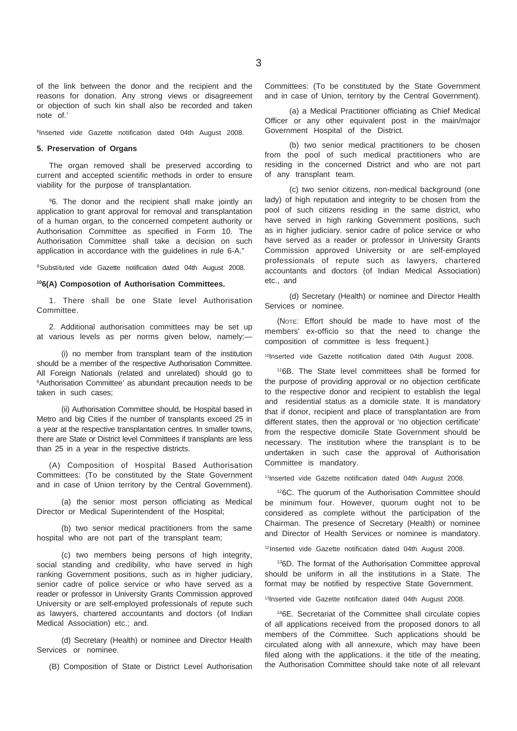of the link between the donor and the recipient and the reasons for donation. Any strong views or disagreement or objection of such kin shall also be recorded and taken note of.'

8Inserted vide Gazette notification dated 04th August 2008.

#### **5. Preservation of Organs**

The organ removed shall be preserved according to current and accepted scientific methods in order to ensure viability for the purpose of transplantation.

9 6. The donor and the recipient shall make jointly an application to grant approval for removal and transplantation of a human organ, to the concerned competent authority or Authorisation Committee as specified in Form 10. The Authorisation Committee shall take a decision on such application in accordance with the guidelines in rule 6-A."

9Substituted vide Gazette notification dated 04th August 2008.

#### **106(A) Composotion of Authorisation Committees.**

1. There shall be one State level Authorisation Committee.

2. Additional authorisation committees may be set up at various levels as per norms given below, namely:—

(i) no member from transplant team of the institution should be a member of the respective Authorisation Committee. All Foreign Nationals (related and unrelated) should go to 6 Authorisation Committee' as abundant precaution needs to be taken in such cases;

(ii) Authorisation Committee should, be Hospital based in Metro and big Cities if the number of transplants exceed 25 in a year at the respective transplantation centres. In smaller towns, there are State or District level Committees if transplants are less than 25 in a year in the respective districts.

(A) Composition of Hospital Based Authorisation Committees: (To be constituted by the State Government and in case of Union territory by the Central Government).

(a) the senior most person officiating as Medical Director or Medical Superintendent of the Hospital;

(b) two senior medical practitioners from the same hospital who are not part of the transplant team;

(c) two members being persons of high integrity, social standing and credibility, who have served in high ranking Government positions, such as in higher judiciary, senior cadre of police service or who have served as a reader or professor in University Grants Commission approved University or are self-employed professionals of repute such as lawyers, chartered accountants and doctors (of Indian Medical Association) etc.; and.

(d) Secretary (Health) or nominee and Director Health Services or nominee.

(B) Composition of State or District Level Authorisation

Committees: (To be constituted by the State Government and in case of Union, territory by the Central Government).

(a) a Medical Practitioner officiating as Chief Medical Officer or any other equivalent post in the main/major Government Hospital of the District.

(b) two senior medical practitioners to be chosen from the pool of such medical practitioners who are residing in the concerned District and who are not part of any transplant team.

(c) two senior citizens, non-medical background (one lady) of high reputation and integrity to be chosen from the pool of such citizens residing in the same district, who have served in high ranking Government positions, such as in higher judiciary. senior cadre of police service or who have served as a reader or professor in University Grants Commission approved University or are self-employed professionals of repute such as lawyers, chartered accountants and doctors (of Indian Medical Association) etc., and

(d) Secretary (Health) or nominee and Director Health Services or nominee.

(NOTE: Effort should be made to have most of the members' ex-officio so that the need to change the composition of committee is less frequent.)

10Inserted vide Gazette notification dated 04th August 2008.

116B. The State level committees shall be formed for the purpose of providing approval or no objection certificate to the respective donor and recipient to establish the legal and residential status as a domicile state. It is mandatory that if donor, recipient and place of transplantation are from different states, then the approval or 'no objection certificate' from the respective domicile State Government should be necessary. The institution where the transplant is to be undertaken in such case the approval of Authorisation Committee is mandatory.

11Inserted vide Gazette notification dated 04th August 2008.

126C. The quorum of the Authorisation Committee should be minimum four. However, quorum ought not to be considered as complete without the participation of the Chairman. The presence of Secretary (Health) or nominee and Director of Health Services or nominee is mandatory.

12Inserted vide Gazette notification dated 04th August 2008.

136D. The format of the Authorisation Committee approval should be uniform in all the institutions in a State. The format may be notified by respective State Government.

13Inserted vide Gazette notification dated 04th August 2008.

146E. Secretariat of the Committee shall circulate copies of all applications received from the proposed donors to all members of the Committee. Such applications should be circulated along with all annexure, which may have been filed along with the applications. it the title of the meating, the Authorisation Committee should take note of all relevant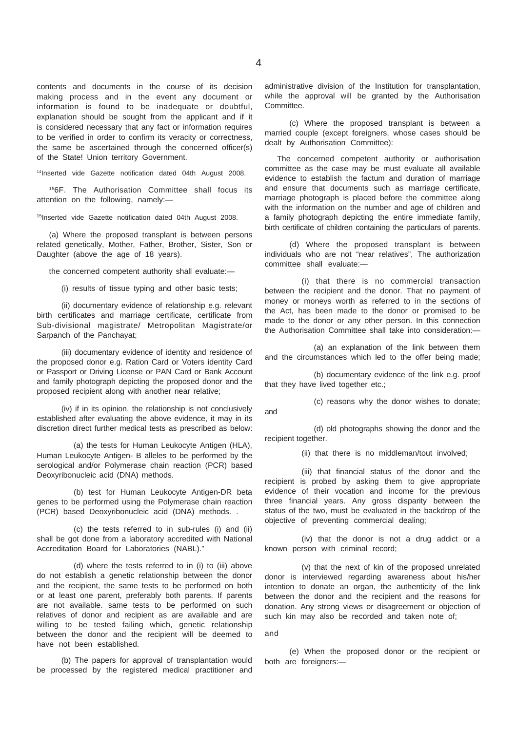contents and documents in the course of its decision making process and in the event any document or information is found to be inadequate or doubtful, explanation should be sought from the applicant and if it is considered necessary that any fact or information requires to be verified in order to confirm its veracity or correctness, the same be ascertained through the concerned officer(s) of the State! Union territory Government.

14Inserted vide Gazette notification dated 04th August 2008.

156F. The Authorisation Committee shall focus its attention on the following, namely:—

15Inserted vide Gazette notification dated 04th August 2008.

(a) Where the proposed transplant is between persons related genetically, Mother, Father, Brother, Sister, Son or Daughter (above the age of 18 years).

the concerned competent authority shall evaluate:—

(i) results of tissue typing and other basic tests;

(ii) documentary evidence of relationship e.g. relevant birth certificates and marriage certificate, certificate from Sub-divisional magistrate/ Metropolitan Magistrate/or Sarpanch of the Panchayat;

(iii) documentary evidence of identity and residence of the proposed donor e.g. Ration Card or Voters identity Card or Passport or Driving License or PAN Card or Bank Account and family photograph depicting the proposed donor and the proposed recipient along with another near relative;

(iv) if in its opinion, the relationship is not conclusively established after evaluating the above evidence, it may in its discretion direct further medical tests as prescribed as below:

(a) the tests for Human Leukocyte Antigen (HLA), Human Leukocyte Antigen- B alleles to be performed by the serological and/or Polymerase chain reaction (PCR) based Deoxyribonucleic acid (DNA) methods.

(b) test for Human Leukocyte Antigen-DR beta genes to be performed using the Polymerase chain reaction (PCR) based Deoxyribonucleic acid (DNA) methods. .

(c) the tests referred to in sub-rules (i) and (ii) shall be got done from a laboratory accredited with National Accreditation Board for Laboratories (NABL)."

(d) where the tests referred to in (i) to (iii) above do not establish a genetic relationship between the donor and the recipient, the same tests to be performed on both or at least one parent, preferably both parents. If parents are not available. same tests to be performed on such relatives of donor and recipient as are available and are willing to be tested failing which, genetic relationship between the donor and the recipient will be deemed to have not been established.

(b) The papers for approval of transplantation would be processed by the registered medical practitioner and

administrative division of the Institution for transplantation, while the approval will be granted by the Authorisation Committee.

(c) Where the proposed transplant is between a married couple (except foreigners, whose cases should be dealt by Authorisation Committee):

The concerned competent authority or authorisation committee as the case may be must evaluate all available evidence to establish the factum and duration of marriage and ensure that documents such as marriage certificate, marriage photograph is placed before the committee along with the information on the number and age of children and a family photograph depicting the entire immediate family, birth certificate of children containing the particulars of parents.

(d) Where the proposed transplant is between individuals who are not "near relatives", The authorization committee shall evaluate:—

(i) that there is no commercial transaction between the recipient and the donor. That no payment of money or moneys worth as referred to in the sections of the Act, has been made to the donor or promised to be made to the donor or any other person. In this connection the Authorisation Committee shall take into consideration:—

(a) an explanation of the link between them and the circumstances which led to the offer being made;

(b) documentary evidence of the link e.g. proof that they have lived together etc.;

(c) reasons why the donor wishes to donate; and

(d) old photographs showing the donor and the recipient together.

(ii) that there is no middleman/tout involved;

(iii) that financial status of the donor and the recipient is probed by asking them to give appropriate evidence of their vocation and income for the previous three financial years. Any gross disparity between the status of the two, must be evaluated in the backdrop of the objective of preventing commercial dealing;

(iv) that the donor is not a drug addict or a known person with criminal record;

(v) that the next of kin of the proposed unrelated donor is interviewed regarding awareness about his/her intention to donate an organ, the authenticity of the link between the donor and the recipient and the reasons for donation. Any strong views or disagreement or objection of such kin may also be recorded and taken note of;

and

(e) When the proposed donor or the recipient or both are foreigners:—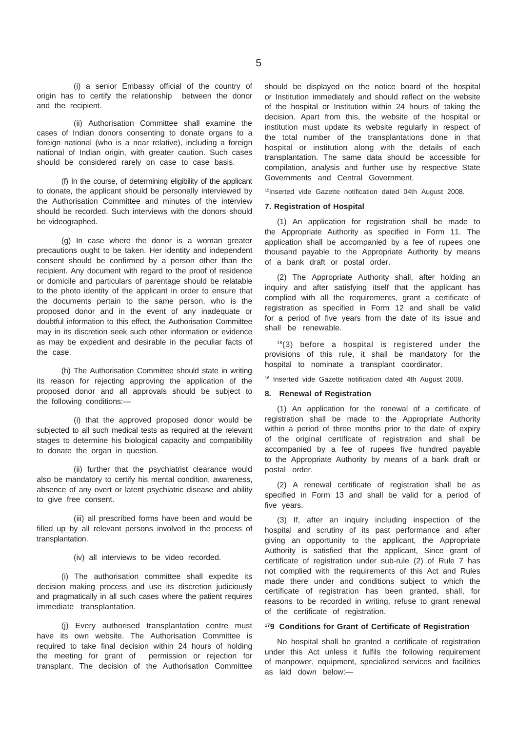(i) a senior Embassy official of the country of origin has to certify the relationship between the donor and the recipient.

(ii) Authorisation Committee shall examine the cases of Indian donors consenting to donate organs to a foreign national (who is a near relative), including a foreign national of Indian origin, with greater caution. Such cases should be considered rarely on case to case basis.

(f) In the course, of determining eligibility of the applicant to donate, the applicant should be personally interviewed by the Authorisation Committee and minutes of the interview should be recorded. Such interviews with the donors should be videographed.

(g) In case where the donor is a woman greater precautions ought to be taken. Her identity and independent consent should be confirmed by a person other than the recipient. Any document with regard to the proof of residence or domicile and particulars of parentage should be relatable to the photo identity of the applicant in order to ensure that the documents pertain to the same person, who is the proposed donor and in the event of any inadequate or doubtful information to this effect, the Authorisation Committee may in its discretion seek such other information or evidence as may be expedient and desirable in the peculiar facts of the case.

(h) The Authorisation Committee should state in writing its reason for rejecting approving the application of the proposed donor and all approvals should be subject to the following conditions:—

(i) that the approved proposed donor would be subjected to all such medical tests as required at the relevant stages to determine his biological capacity and compatibility to donate the organ in question.

(ii) further that the psychiatrist clearance would also be mandatory to certify his mental condition, awareness, absence of any overt or latent psychiatric disease and ability to give free consent.

(iii) all prescribed forms have been and would be filled up by all relevant persons involved in the process of transplantation.

(iv) all interviews to be video recorded.

(i) The authorisation committee shall expedite its decision making process and use its discretion judiciously and pragmatically in all such cases where the patient requires immediate transplantation.

(j) Every authorised transplantation centre must have its own website. The Authorisation Committee is required to take final decision within 24 hours of holding the meeting for grant of permission or rejection for transplant. The decision of the Authorisatlon Committee

should be displayed on the notice board of the hospital or Institution immediately and should reflect on the website of the hospital or Institution within 24 hours of taking the decision. Apart from this, the website of the hospital or institution must update its website regularly in respect of the total number of the transplantations done in that hospital or institution along with the details of each transplantation. The same data should be accessible for compilation, analysis and further use by respective State Governments and Central Government.

15Inserted vide Gazette notification dated 04th August 2008.

#### **7. Registration of Hospital**

(1) An application for registration shall be made to the Appropriate Authority as specified in Form 11. The application shall be accompanied by a fee of rupees one thousand payable to the Appropriate Authority by means of a bank draft or postal order.

(2) The Appropriate Authority shall, after holding an inquiry and after satisfying itself that the applicant has complied with all the requirements, grant a certificate of registration as specified in Form 12 and shall be valid for a period of five years from the date of its issue and shall be renewable.

 $16(3)$  before a hospital is registered under the provisions of this rule, it shall be mandatory for the hospital to nominate a transplant coordinator.

16 Inserted vide Gazette notification dated 4th August 2008.

## **8. Renewal of Registration**

(1) An application for the renewal of a certificate of registration shall be made to the Appropriate Authority within a period of three months prior to the date of expiry of the original certificate of registration and shall be accompanied by a fee of rupees five hundred payable to the Appropriate Authority by means of a bank draft or postal order.

(2) A renewal certificate of registration shall be as specified in Form 13 and shall be valid for a period of five years.

(3) If, after an inquiry including inspection of the hospital and scrutiny of its past performance and after giving an opportunity to the applicant, the Appropriate Authority is satisfied that the applicant, Since grant of certificate of registration under sub-rule (2) of Rule 7 has not complied with the requirements of this Act and Rules made there under and conditions subject to which the certificate of registration has been granted, shall, for reasons to be recorded in writing, refuse to grant renewal of the certificate of registration.

## **179 Conditions for Grant of Certificate of Registration**

No hospital shall be granted a certificate of registration under this Act unless it fulfils the following requirement of manpower, equipment, specialized services and facilities as laid down below:—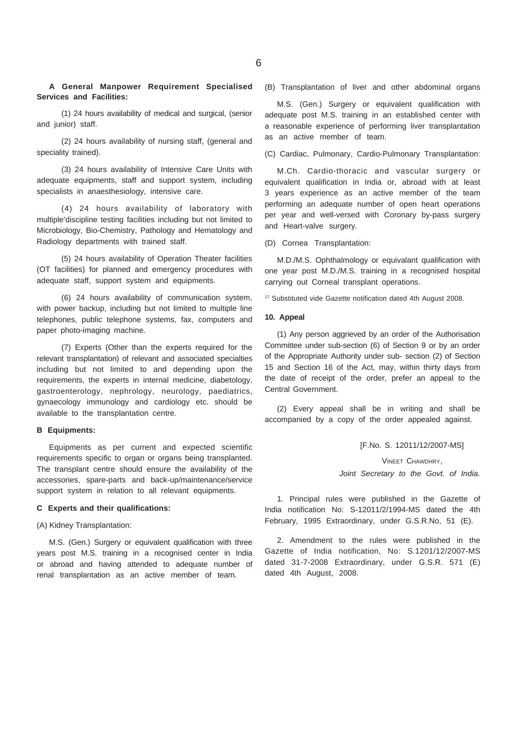**A General Manpower Requirement Specialised Services and Facilities:**

(1) 24 hours availability of medical and surgical, (senior and junior) staff.

(2) 24 hours availability of nursing staff, (general and speciality trained).

(3) 24 hours availability of Intensive Care Units with adequate equipments, staff and support system, including specialists in anaesthesiology, intensive care.

(4) 24 hours availability of laboratory with multiple'discipline testing facilities including but not limited to Microbiology, Bio-Chemistry, Pathology and Hematology and Radiology departments with trained staff.

(5) 24 hours availability of Operation Theater facilities (OT facilities) for planned and emergency procedures with adequate staff, support system and equipments.

(6) 24 hours availability of communication system, with power backup, including but not limited to multiple line telephones, public telephone systems, fax, computers and paper photo-imaging machine.

(7) Experts (Other than the experts required for the relevant transplantation) of relevant and associated specialties including but not limited to and depending upon the requirements, the experts in internal medicine, diabetology, gastroenterology, nephrology, neurology, paediatrics, gynaecology immunology and cardiology etc. should be available to the transplantation centre.

#### **B Equipments:**

Equipments as per current and expected scientific requirements specific to organ or organs being transplanted. The transplant centre should ensure the availability of the accessories, spare-parts and back-up/maintenance/service support system in relation to all relevant equipments.

## **C Experts and their qualifications:**

(A) Kidney Transplantation:

M.S. (Gen.) Surgery or equivalent qualification with three years post M.S. training in a recognised center in India or abroad and having attended to adequate number of renal transplantation as an active member of team.

(B) Transplantation of liver and other abdominal organs

M.S. (Gen.) Surgery or equivalent qualification with adequate post M.S. training in an established center with a reasonable experience of performing liver transplantation as an active member of team.

(C) Cardiac, Pulmonary, Cardio-Pulmonary Transplantation:

M.Ch. Cardio-thoracic and vascular surgery or equivalent qualification in India or, abroad with at least 3 years experience as an active member of the team performing an adequate number of open heart operations per year and well-versed with Coronary by-pass surgery and Heart-valve surgery.

(D) Cornea Transplantation:

M.D./M.S. Ophthalmology or equivalant qualification with one year post M.D./M.S. training in a recognised hospital carrying out Corneal transplant operations.

<sup>17</sup> Substituted vide Gazette notification dated 4th August 2008.

## **10. Appeal**

(1) Any person aggrieved by an order of the Authorisation Committee under sub-section (6) of Section 9 or by an order of the Appropriate Authority under sub- section (2) of Section 15 and Section 16 of the Act, may, within thirty days from the date of receipt of the order, prefer an appeal to the Central Government.

(2) Every appeal shall be in writing and shall be accompanied by a copy of the order appealed against.

[F.No. S. 12011/12/2007-MS]

VINEET CHAWDHRY, *Joint Secretary to the Govt. of India.*

1. Principal rules were published in the Gazette of India notification No: S-12011/2/1994-MS dated the 4th February, 1995 Extraordinary, under G.S.R.No, 51 (E).

2. Amendment to the rules were published in the Gazette of India notification, No: S.1201/12/2007-MS dated 31-7-2008 Extraordinary, under G.S.R. 571 (E) dated 4th August, 2008.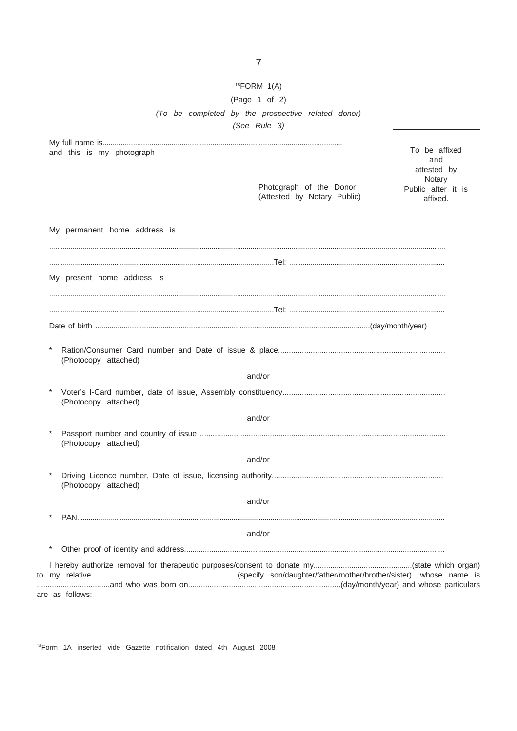## $18$ FORM  $1(A)$ (Page  $1$  of 2) (To be completed by the prospective related donor) (See Rule 3)

|                                                        | To be affixed                  |
|--------------------------------------------------------|--------------------------------|
| and this is my photograph                              | and<br>attested by             |
|                                                        | Notary                         |
| Photograph of the Donor<br>(Attested by Notary Public) | Public after it is<br>affixed. |
|                                                        |                                |
| My permanent home address is                           |                                |
|                                                        |                                |
| My present home address is                             |                                |
|                                                        |                                |
|                                                        |                                |
| (Photocopy attached)<br>and/or<br>(Photocopy attached) |                                |
| and/or                                                 |                                |
| (Photocopy attached)                                   |                                |
| and/or                                                 |                                |
| $^{\tiny{\text{}}\star}$<br>(Photocopy attached)       |                                |
| and/or                                                 |                                |
|                                                        |                                |
| and/or                                                 |                                |
| $\ast$                                                 |                                |
|                                                        |                                |
| are as follows:                                        |                                |

<sup>18</sup>Form 1A inserted vide Gazette notification dated 4th August 2008

 $to$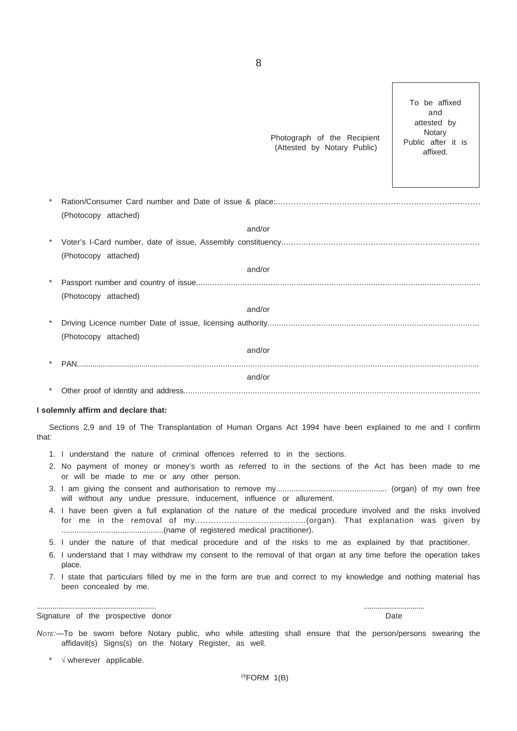|       | Photograph of the Recipient<br>(Attested by Notary Public)                                                                                                              | To be affixed<br>and<br>attested by<br>Notary<br>Public after it is<br>affixed. |
|-------|-------------------------------------------------------------------------------------------------------------------------------------------------------------------------|---------------------------------------------------------------------------------|
|       |                                                                                                                                                                         |                                                                                 |
|       | (Photocopy attached)                                                                                                                                                    |                                                                                 |
|       | and/or                                                                                                                                                                  |                                                                                 |
|       |                                                                                                                                                                         |                                                                                 |
|       | (Photocopy attached)                                                                                                                                                    |                                                                                 |
|       | and/or                                                                                                                                                                  |                                                                                 |
|       |                                                                                                                                                                         |                                                                                 |
|       | (Photocopy attached)                                                                                                                                                    |                                                                                 |
|       | and/or                                                                                                                                                                  |                                                                                 |
|       |                                                                                                                                                                         |                                                                                 |
|       | (Photocopy attached)                                                                                                                                                    |                                                                                 |
|       | and/or                                                                                                                                                                  |                                                                                 |
|       |                                                                                                                                                                         |                                                                                 |
|       | and/or                                                                                                                                                                  |                                                                                 |
|       |                                                                                                                                                                         |                                                                                 |
|       | I solemnly affirm and declare that:                                                                                                                                     |                                                                                 |
|       |                                                                                                                                                                         |                                                                                 |
| that: | Sections 2,9 and 19 of The Transplantation of Human Organs Act 1994 have been explained to me and I confirm                                                             |                                                                                 |
|       | 1. I understand the nature of criminal offences referred to in the sections.                                                                                            |                                                                                 |
|       | 2. No payment of money or money's worth as referred to in the sections of the Act has been made to me<br>or will be made to me or any other person.                     |                                                                                 |
|       | will without any undue pressure, inducement, influence or allurement.                                                                                                   |                                                                                 |
|       | 4. I have been given a full explanation of the nature of the medical procedure involved and the risks involved                                                          |                                                                                 |
|       | 5. I under the nature of that medical procedure and of the risks to me as explained by that practitioner.                                                               |                                                                                 |
|       | 6. I understand that I may withdraw my consent to the removal of that organ at any time before the operation takes<br>place.                                            |                                                                                 |
|       | 7. I state that particulars filled by me in the form are true and correct to my knowledge and nothing material has<br>been concealed by me.                             |                                                                                 |
|       | Signature of the prospective donor                                                                                                                                      | Date                                                                            |
|       | Nore:—To be sworn before Notary public, who while attesting shall ensure that the person/persons swearing the<br>affidavit(s) Signs(s) on the Notary Register, as well. |                                                                                 |
|       | $\sqrt{ }$ wherever applicable.                                                                                                                                         |                                                                                 |
|       | $19$ FORM $1(B)$                                                                                                                                                        |                                                                                 |
|       |                                                                                                                                                                         |                                                                                 |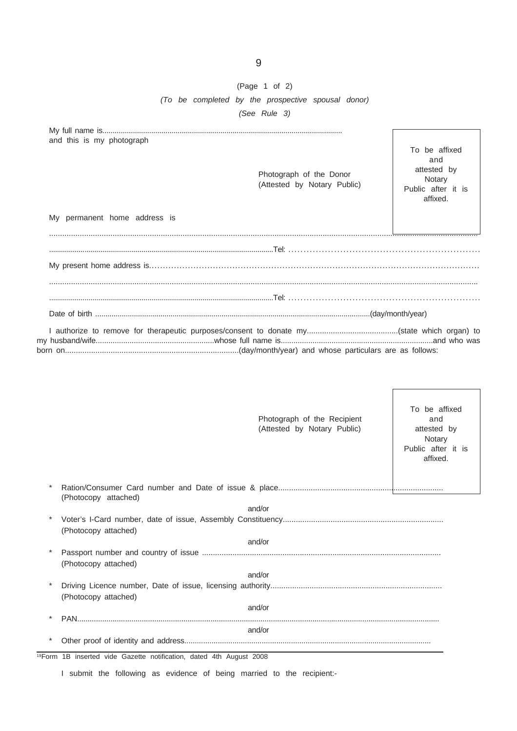## (Page 1 of 2) *(To be completed by the prospective spousal donor) (See Rule 3)*

| and this is my photograph<br>My permanent home address is | Photograph of the Donor<br>(Attested by Notary Public) | To be affixed<br>and<br>attested by<br>Notary<br>Public after it is<br>affixed. |
|-----------------------------------------------------------|--------------------------------------------------------|---------------------------------------------------------------------------------|
|                                                           |                                                        |                                                                                 |
|                                                           |                                                        |                                                                                 |
|                                                           |                                                        |                                                                                 |
|                                                           |                                                        |                                                                                 |
|                                                           |                                                        |                                                                                 |
|                                                           |                                                        |                                                                                 |
|                                                           |                                                        |                                                                                 |

| Photograph of the Recipient<br>(Attested by Notary Public)                      | To be affixed<br>and<br>attested by<br>Notary<br>Public after it is<br>affixed. |
|---------------------------------------------------------------------------------|---------------------------------------------------------------------------------|
| (Photocopy attached)                                                            |                                                                                 |
| and/or                                                                          |                                                                                 |
| (Photocopy attached)                                                            |                                                                                 |
| and/or                                                                          |                                                                                 |
| (Photocopy attached)                                                            |                                                                                 |
| and/or                                                                          |                                                                                 |
| (Photocopy attached)                                                            |                                                                                 |
| and/or                                                                          |                                                                                 |
| <b>PAN</b>                                                                      |                                                                                 |
| and/or                                                                          |                                                                                 |
|                                                                                 |                                                                                 |
| <sup>19</sup> Form 1B inserted vide Gazette notification, dated 4th August 2008 |                                                                                 |

I submit the following as evidence of being married to the recipient:-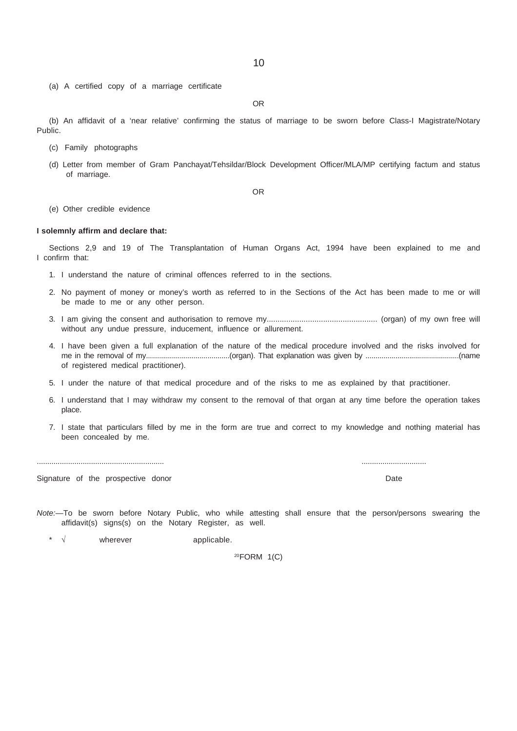- (a) A certified copy of a marriage certificate
- OR

(b) An affidavit of a 'near relative' confirming the status of marriage to be sworn before Class-I Magistrate/Notary Public.

- (c) Family photographs
- (d) Letter from member of Gram Panchayat/Tehsildar/Block Development Officer/MLA/MP certifying factum and status of marriage.

OR

(e) Other credible evidence

#### **I solemnly affirm and declare that:**

Sections 2,9 and 19 of The Transplantation of Human Organs Act, 1994 have been explained to me and I confirm that:

- 1. I understand the nature of criminal offences referred to in the sections.
- 2. No payment of money or money's worth as referred to in the Sections of the Act has been made to me or will be made to me or any other person.
- 3. I am giving the consent and authorisation to remove my................................................... (organ) of my own free will without any undue pressure, inducement, influence or allurement.
- 4. I have been given a full explanation of the nature of the medical procedure involved and the risks involved for me in the removal of my..........................................(organ). That explanation was given by ...............................................(name of registered medical practitioner).
- 5. I under the nature of that medical procedure and of the risks to me as explained by that practitioner.
- 6. I understand that I may withdraw my consent to the removal of that organ at any time before the operation takes place.
- 7. I state that particulars filled by me in the form are true and correct to my knowledge and nothing material has been concealed by me.

............................................................. ...............................

Signature of the prospective donor **Date** 

*Note:—*To be sworn before Notary Public, who while attesting shall ensure that the person/persons swearing the affidavit(s) signs(s) on the Notary Register, as well.

\* √ wherever applicable.

20FORM 1(C)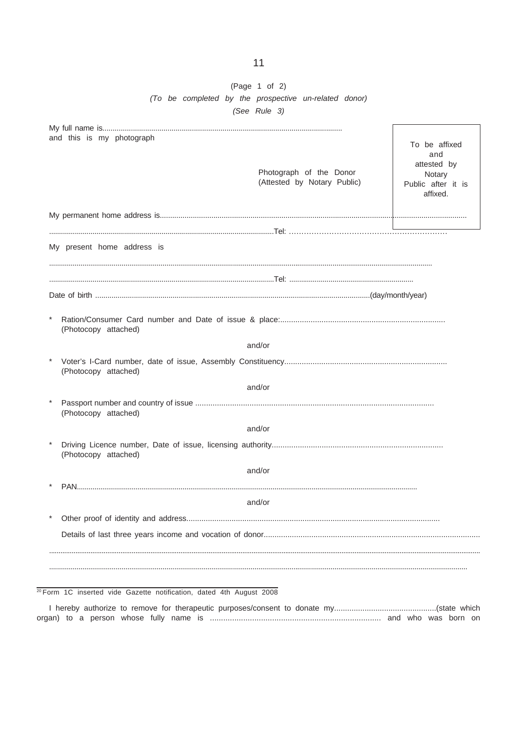## (Page 1 of 2) (To be completed by the prospective un-related donor) (See Rule 3)

| and this is my photograph   |                      |
|-----------------------------|----------------------|
|                             | To be affixed<br>and |
|                             | attested by          |
| Photograph of the Donor     | Notary               |
| (Attested by Notary Public) | Public after it is   |
|                             | affixed.             |
|                             |                      |
|                             |                      |
|                             |                      |
| My present home address is  |                      |
|                             |                      |
|                             |                      |
|                             |                      |
|                             |                      |
| (Photocopy attached)        |                      |
| and/or                      |                      |
|                             |                      |
| (Photocopy attached)        |                      |
| and/or                      |                      |
|                             |                      |
| (Photocopy attached)        |                      |
| and/or                      |                      |
|                             |                      |
| (Photocopy attached)        |                      |
| and/or                      |                      |
|                             |                      |
|                             |                      |
| and/or                      |                      |
|                             |                      |
|                             |                      |
|                             |                      |
|                             |                      |
|                             |                      |
|                             |                      |

<sup>20</sup> Form 1C inserted vide Gazette notification, dated 4th August 2008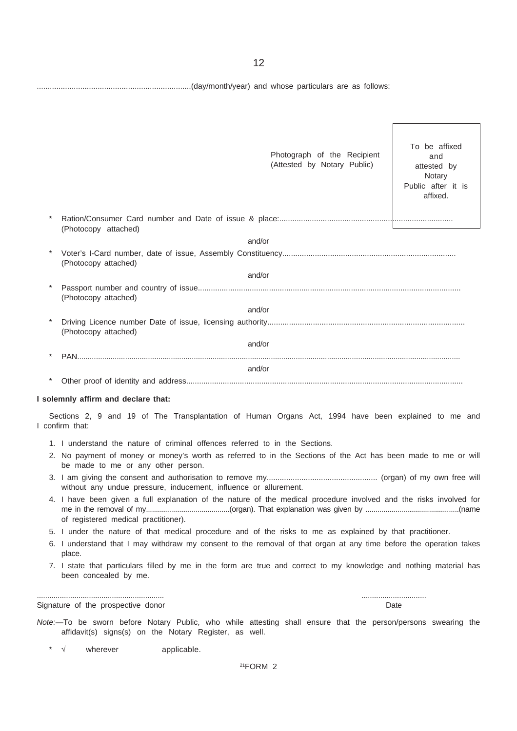.......................................................................(day/month/year) and whose particulars are as follows:

|  |                                                                                                                                                                         | Photograph of the Recipient<br>(Attested by Notary Public) | To be affixed<br>and<br>attested by<br>Notary<br>Public after it is<br>affixed. |
|--|-------------------------------------------------------------------------------------------------------------------------------------------------------------------------|------------------------------------------------------------|---------------------------------------------------------------------------------|
|  | (Photocopy attached)                                                                                                                                                    |                                                            |                                                                                 |
|  | and/or                                                                                                                                                                  |                                                            |                                                                                 |
|  | (Photocopy attached)                                                                                                                                                    |                                                            |                                                                                 |
|  | and/or                                                                                                                                                                  |                                                            |                                                                                 |
|  | (Photocopy attached)                                                                                                                                                    |                                                            |                                                                                 |
|  | and/or                                                                                                                                                                  |                                                            |                                                                                 |
|  | (Photocopy attached)                                                                                                                                                    |                                                            |                                                                                 |
|  | and/or                                                                                                                                                                  |                                                            |                                                                                 |
|  |                                                                                                                                                                         |                                                            |                                                                                 |
|  |                                                                                                                                                                         |                                                            |                                                                                 |
|  | and/or                                                                                                                                                                  |                                                            |                                                                                 |
|  | I solemnly affirm and declare that:                                                                                                                                     |                                                            |                                                                                 |
|  | Sections 2, 9 and 19 of The Transplantation of Human Organs Act, 1994 have been explained to me and<br>I confirm that:                                                  |                                                            |                                                                                 |
|  | 1. I understand the nature of criminal offences referred to in the Sections.                                                                                            |                                                            |                                                                                 |
|  | 2. No payment of money or money's worth as referred to in the Sections of the Act has been made to me or will<br>be made to me or any other person.                     |                                                            |                                                                                 |
|  | without any undue pressure, inducement, influence or allurement.                                                                                                        |                                                            |                                                                                 |
|  | 4. I have been given a full explanation of the nature of the medical procedure involved and the risks involved for<br>of registered medical practitioner).              |                                                            |                                                                                 |
|  | 5. I under the nature of that medical procedure and of the risks to me as explained by that practitioner.                                                               |                                                            |                                                                                 |
|  | 6. I understand that I may withdraw my consent to the removal of that organ at any time before the operation takes<br>place.                                            |                                                            |                                                                                 |
|  | 7. I state that particulars filled by me in the form are true and correct to my knowledge and nothing material has<br>been concealed by me.                             |                                                            |                                                                                 |
|  | Signature of the prospective donor                                                                                                                                      |                                                            | Date                                                                            |
|  | Note:-To be sworn before Notary Public, who while attesting shall ensure that the person/persons swearing the<br>affidavit(s) signs(s) on the Notary Register, as well. |                                                            |                                                                                 |
|  |                                                                                                                                                                         |                                                            |                                                                                 |

\* √ wherever applicable.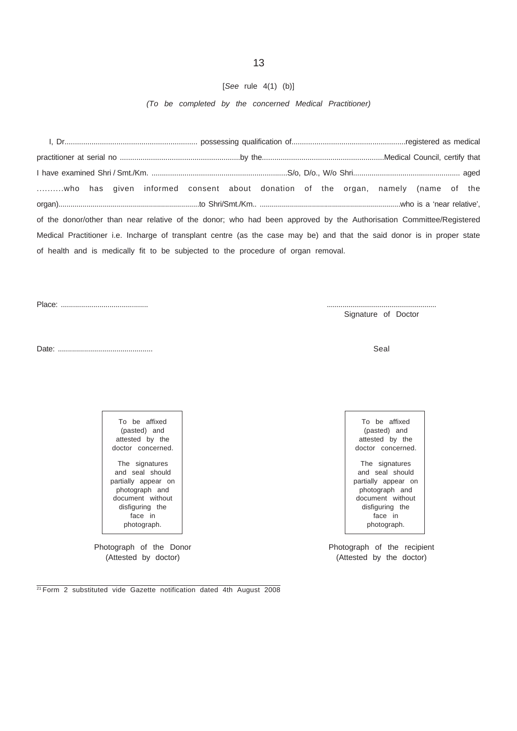## [*See* rule 4(1) (b)]

*(To be completed by the concerned Medical Practitioner)*

I, Dr................................................................ possessing qualification of.......................................................registered as medical practitioner at serial no ..........................................................by the...........................................................Medical Council, certify that I have examined Shri / Smt./Km. ..................................................................S/o, D/o., W/o Shri.................................................... aged ..........who has given informed consent about donation of the organ, namely (name of the organ)......................................................................to Shri/Smt./Km.. ......................................................................who is a 'near relative', of the donor/other than near relative of the donor; who had been approved by the Authorisation Committee/Registered Medical Practitioner i.e. Incharge of transplant centre (as the case may be) and that the said donor is in proper state of health and is medically fit to be subjected to the procedure of organ removal.

Place: ........................................... ........................................................

Signature of Doctor

Date: ............................................... Seal

To be affixed (pasted) and attested by the

and seal should partially appear on photograph and document without disfiguring the face in photograph.

(Attested by doctor) (Attested by the doctor)

To be affixed (pasted) and attested by the doctor concerned. The signatures and seal should partially appear on photograph and document without disfiguring the

Photograph of the Donor Photograph of the recipient

 $21$  Form 2 substituted vide Gazette notification dated 4th August 2008

doctor concerned. The signatures

face in photograph.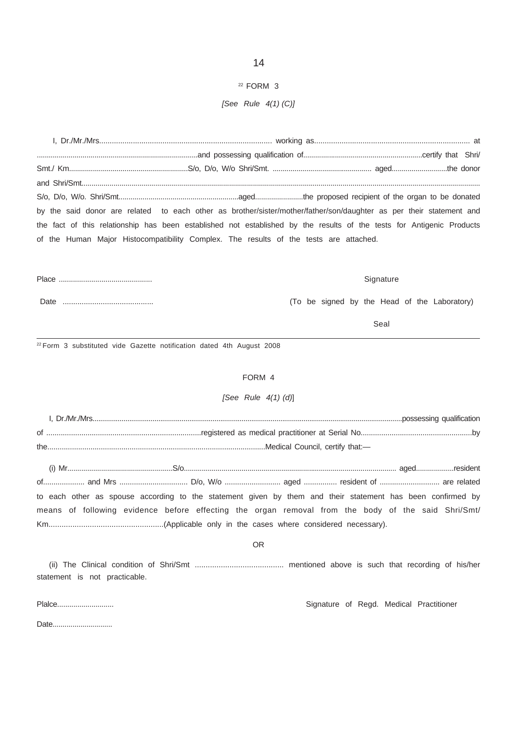## $22$  FORM 3

## [See Rule  $4(1)$  (C)]

by the said donor are related to each other as brother/sister/mother/father/son/daughter as per their statement and the fact of this relationship has been established not established by the results of the tests for Antigenic Products of the Human Major Histocompatibility Complex. The results of the tests are attached.

 Signature

(To be signed by the Head of the Laboratory)

Seal

<sup>22</sup> Form 3 substituted vide Gazette notification dated 4th August 2008

## FORM 4

## [See Rule  $4(1)$  (d)]

| οf  |  |
|-----|--|
| the |  |

to each other as spouse according to the statement given by them and their statement has been confirmed by means of following evidence before effecting the organ removal from the body of the said Shri/Smt/ 

**OR** 

statement is not practicable.

Plaice..............................

Signature of Regd. Medical Practitioner

Date................................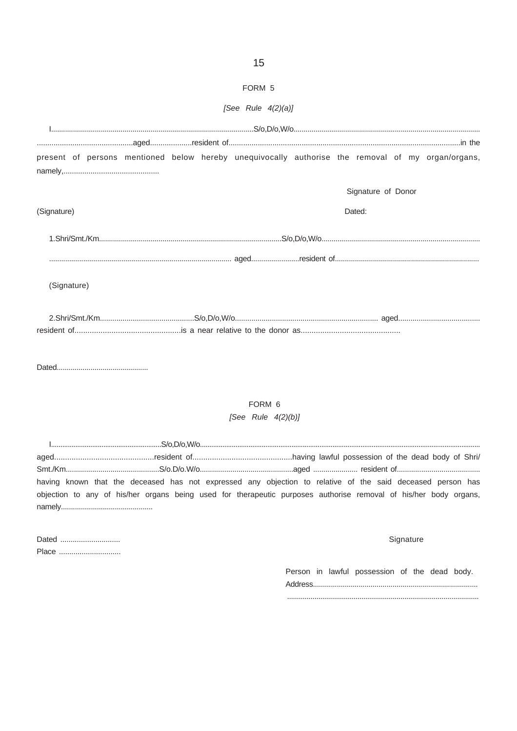| [See Rule $4(2)(a)$ ]                                                                             |  |  |  |  |        |                    |  |  |  |  |
|---------------------------------------------------------------------------------------------------|--|--|--|--|--------|--------------------|--|--|--|--|
|                                                                                                   |  |  |  |  |        |                    |  |  |  |  |
|                                                                                                   |  |  |  |  |        |                    |  |  |  |  |
| present of persons mentioned below hereby unequivocally authorise the removal of my organ/organs, |  |  |  |  |        |                    |  |  |  |  |
|                                                                                                   |  |  |  |  |        |                    |  |  |  |  |
|                                                                                                   |  |  |  |  |        | Signature of Donor |  |  |  |  |
| (Signature)                                                                                       |  |  |  |  | Dated: |                    |  |  |  |  |
| $1. Shri/Smt./Km\n\frac{3}{2}$                                                                    |  |  |  |  |        |                    |  |  |  |  |
|                                                                                                   |  |  |  |  |        |                    |  |  |  |  |
| (Signature)                                                                                       |  |  |  |  |        |                    |  |  |  |  |
|                                                                                                   |  |  |  |  |        |                    |  |  |  |  |
|                                                                                                   |  |  |  |  |        |                    |  |  |  |  |

## FORM 6

[See Rule  $4(2)(b)$ ]

 $S/0, D/0, W/0...................... S/0,....$ having known that the deceased has not expressed any objection to relative of the said deceased person has objection to any of his/her organs being used for therapeutic purposes authorise removal of his/her body organs, 

| Dated |  |
|-------|--|
| Place |  |

## Signature

Person in lawful possession of the dead body. 

15

## FORM 5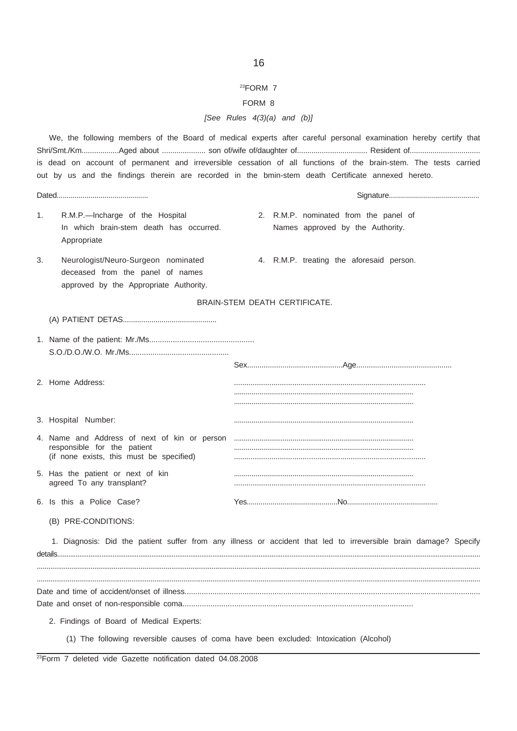## 23FORM 7

## FORM 8

## *[See Rules 4(3)(a) and (b)]*

|    |                                                                                                                                    | We, the following members of the Board of medical experts after careful personal examination hereby certify that<br>is dead on account of permanent and irreversible cessation of all functions of the brain-stem. The tests carried<br>out by us and the findings therein are recorded in the bmin-stem death Certificate annexed hereto. |
|----|------------------------------------------------------------------------------------------------------------------------------------|--------------------------------------------------------------------------------------------------------------------------------------------------------------------------------------------------------------------------------------------------------------------------------------------------------------------------------------------|
|    |                                                                                                                                    |                                                                                                                                                                                                                                                                                                                                            |
| 1. | R.M.P.-Incharge of the Hospital<br>In which brain-stem death has occurred.<br>Appropriate                                          | 2. R.M.P. nominated from the panel of<br>Names approved by the Authority.                                                                                                                                                                                                                                                                  |
| 3. | Neurologist/Neuro-Surgeon nominated<br>deceased from the panel of names<br>approved by the Appropriate Authority.                  | 4. R.M.P. treating the aforesaid person.                                                                                                                                                                                                                                                                                                   |
|    |                                                                                                                                    | BRAIN-STEM DEATH CERTIFICATE.                                                                                                                                                                                                                                                                                                              |
|    |                                                                                                                                    |                                                                                                                                                                                                                                                                                                                                            |
|    |                                                                                                                                    |                                                                                                                                                                                                                                                                                                                                            |
|    | 2. Home Address:                                                                                                                   |                                                                                                                                                                                                                                                                                                                                            |
|    | 3. Hospital Number:                                                                                                                |                                                                                                                                                                                                                                                                                                                                            |
|    | 4. Name and Address of next of kin or person<br>responsible for the patient<br>(if none exists, this must be specified)            |                                                                                                                                                                                                                                                                                                                                            |
|    | 5. Has the patient or next of kin<br>agreed To any transplant?                                                                     |                                                                                                                                                                                                                                                                                                                                            |
|    | 6. Is this a Police Case?                                                                                                          |                                                                                                                                                                                                                                                                                                                                            |
|    | (B) PRE-CONDITIONS:                                                                                                                |                                                                                                                                                                                                                                                                                                                                            |
|    |                                                                                                                                    | 1. Diagnosis: Did the patient suffer from any illness or accident that led to irreversible brain damage? Specify                                                                                                                                                                                                                           |
|    | 2. Findings of Board of Medical Experts:<br>(1) The following reversible causes of coma have been excluded: Intoxication (Alcohol) |                                                                                                                                                                                                                                                                                                                                            |

23Form 7 deleted vide Gazette notification dated 04.08.2008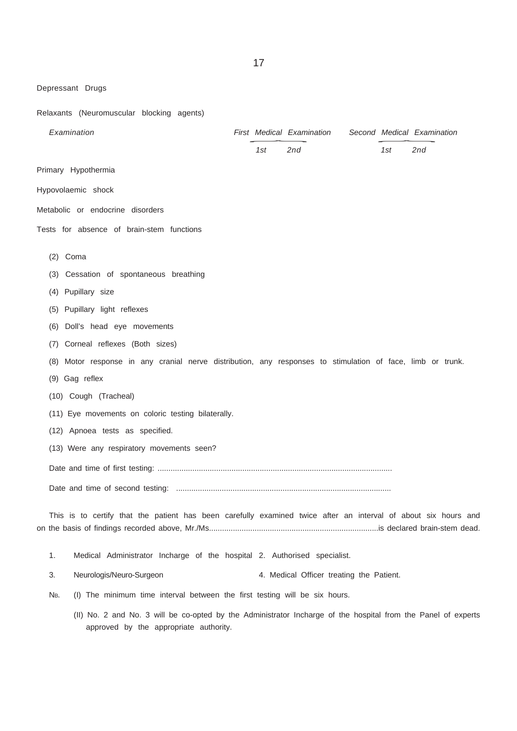Depressant Drugs

Relaxants (Neuromuscular blocking agents)

| Examination |            |                                                                                                                |     | First Medical Examination                |     | Second Medical Examination |  |
|-------------|------------|----------------------------------------------------------------------------------------------------------------|-----|------------------------------------------|-----|----------------------------|--|
|             |            |                                                                                                                | 1st | 2nd                                      | 1st | 2nd                        |  |
|             |            | Primary Hypothermia                                                                                            |     |                                          |     |                            |  |
|             |            | Hypovolaemic shock                                                                                             |     |                                          |     |                            |  |
|             |            | Metabolic or endocrine disorders                                                                               |     |                                          |     |                            |  |
|             |            | Tests for absence of brain-stem functions                                                                      |     |                                          |     |                            |  |
|             |            |                                                                                                                |     |                                          |     |                            |  |
|             | $(2)$ Coma |                                                                                                                |     |                                          |     |                            |  |
|             |            | (3) Cessation of spontaneous breathing                                                                         |     |                                          |     |                            |  |
|             |            | (4) Pupillary size                                                                                             |     |                                          |     |                            |  |
|             |            | (5) Pupillary light reflexes                                                                                   |     |                                          |     |                            |  |
|             |            | (6) Doll's head eye movements                                                                                  |     |                                          |     |                            |  |
|             | (7)        | Corneal reflexes (Both sizes)                                                                                  |     |                                          |     |                            |  |
|             |            | (8) Motor response in any cranial nerve distribution, any responses to stimulation of face, limb or trunk.     |     |                                          |     |                            |  |
|             |            | (9) Gag reflex                                                                                                 |     |                                          |     |                            |  |
|             |            | (10) Cough (Tracheal)                                                                                          |     |                                          |     |                            |  |
|             |            | (11) Eye movements on coloric testing bilaterally.                                                             |     |                                          |     |                            |  |
|             |            | (12) Apnoea tests as specified.                                                                                |     |                                          |     |                            |  |
|             |            | (13) Were any respiratory movements seen?                                                                      |     |                                          |     |                            |  |
|             |            |                                                                                                                |     |                                          |     |                            |  |
|             |            |                                                                                                                |     |                                          |     |                            |  |
|             |            |                                                                                                                |     |                                          |     |                            |  |
|             |            | This is to certify that the patient has been carefully examined twice after an interval of about six hours and |     |                                          |     |                            |  |
|             |            |                                                                                                                |     |                                          |     |                            |  |
|             | 1.         | Medical Administrator Incharge of the hospital 2. Authorised specialist.                                       |     |                                          |     |                            |  |
|             | 3.         | Neurologis/Neuro-Surgeon                                                                                       |     | 4. Medical Officer treating the Patient. |     |                            |  |
|             | Nb.        | (I) The minimum time interval between the first testing will be six hours.                                     |     |                                          |     |                            |  |

(II) No. 2 and No. 3 will be co-opted by the Administrator Incharge of the hospital from the Panel of experts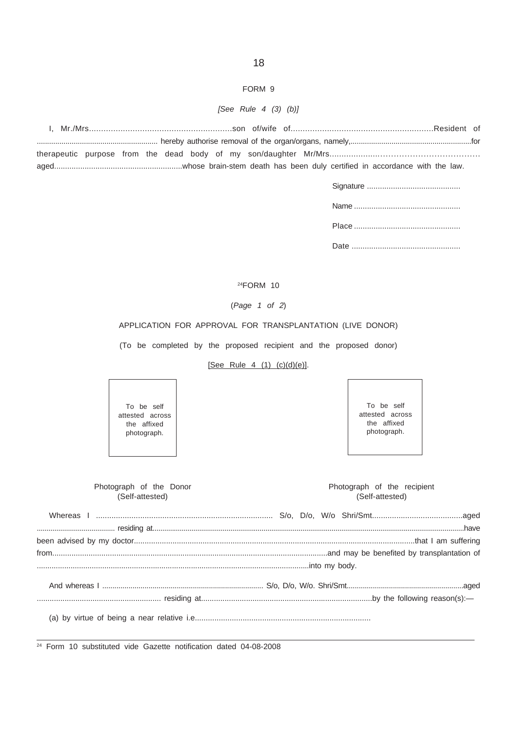## FORM 9

## *[See Rule 4 (3) (b)]*

## 24FORM 10

## (*Page 1 of 2*)

## APPLICATION FOR APPROVAL FOR TRANSPLANTATION (LIVE DONOR)

(To be completed by the proposed recipient and the proposed donor)

## [See Rule 4 (1) (c)(d)(e)].

To be self attested across the affixed photograph.

To be self attested across the affixed photograph.

| Photograph of the Donor<br>(Self-attested) | Photograph of the recipient<br>(Self-attested) |
|--------------------------------------------|------------------------------------------------|
|                                            |                                                |
|                                            |                                                |
|                                            |                                                |
|                                            |                                                |
|                                            |                                                |

<sup>24</sup> Form 10 substituted vide Gazette notification dated 04-08-2008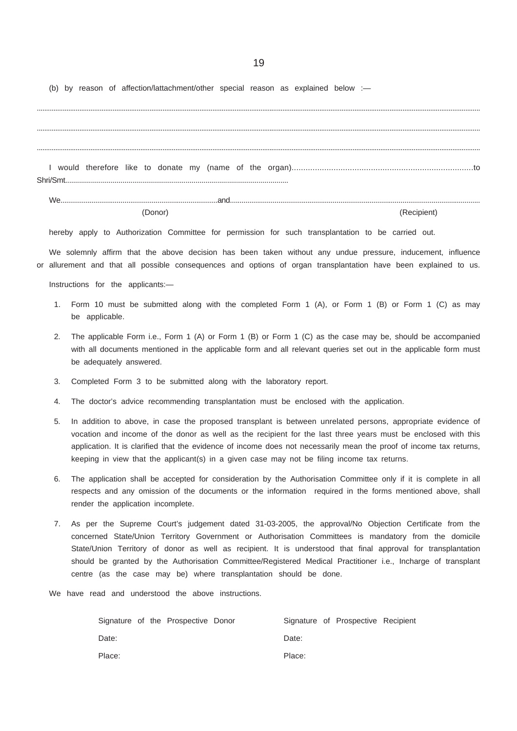(b) by reason of affection/lattachment/other special reason as explained below :-

(Donor) (Recipient)

hereby apply to Authorization Committee for permission for such transplantation to be carried out.

We solemnly affirm that the above decision has been taken without any undue pressure, inducement, influence or allurement and that all possible consequences and options of organ transplantation have been explained to us.

Instructions for the applicants:—

- 1. Form 10 must be submitted along with the completed Form 1 (A), or Form 1 (B) or Form 1 (C) as may be applicable.
- 2. The applicable Form i.e., Form 1 (A) or Form 1 (B) or Form 1 (C) as the case may be, should be accompanied with all documents mentioned in the applicable form and all relevant queries set out in the applicable form must be adequately answered.
- 3. Completed Form 3 to be submitted along with the laboratory report.
- 4. The doctor's advice recommending transplantation must be enclosed with the application.
- 5. In addition to above, in case the proposed transplant is between unrelated persons, appropriate evidence of vocation and income of the donor as well as the recipient for the last three years must be enclosed with this application. It is clarified that the evidence of income does not necessarily mean the proof of income tax returns, keeping in view that the applicant(s) in a given case may not be filing income tax returns.
- 6. The application shall be accepted for consideration by the Authorisation Committee only if it is complete in all respects and any omission of the documents or the information required in the forms mentioned above, shall render the application incomplete.
- 7. As per the Supreme Court's judgement dated 31-03-2005, the approval/No Objection Certificate from the concerned State/Union Territory Government or Authorisation Committees is mandatory from the domicile State/Union Territory of donor as well as recipient. It is understood that final approval for transplantation should be granted by the Authorisation Committee/Registered Medical Practitioner i.e., Incharge of transplant centre (as the case may be) where transplantation should be done.
- We have read and understood the above instructions.

|        |  | Signature of the Prospective Donor |        | Signature of Prospective Recipient |  |
|--------|--|------------------------------------|--------|------------------------------------|--|
| Date:  |  |                                    | Date:  |                                    |  |
| Place: |  |                                    | Place: |                                    |  |

19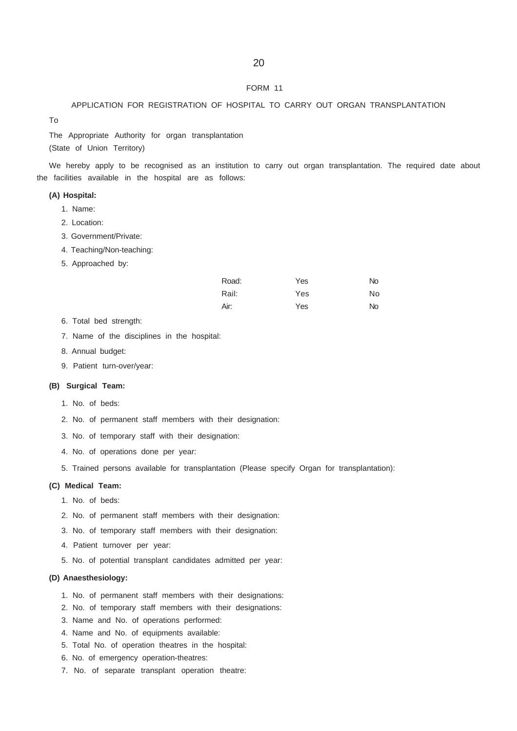#### FORM 11

APPLICATION FOR REGISTRATION OF HOSPITAL TO CARRY OUT ORGAN TRANSPLANTATION

The Appropriate Authority for organ transplantation (State of Union Territory)

We hereby apply to be recognised as an institution to carry out organ transplantation. The required date about the facilities available in the hospital are as follows:

## **(A) Hospital:**

To

- 1. Name:
- 2. Location:
- 3. Government/Private:
- 4. Teaching/Non-teaching:
- 5. Approached by:

| Road: | Yes | No. |
|-------|-----|-----|
| Rail: | Yes | No  |
| Air:  | Yes | No. |

- 6. Total bed strength:
- 7. Name of the disciplines in the hospital:
- 8. Annual budget:
- 9. Patient turn-over/year:

## **(B) Surgical Team:**

- 1. No. of beds:
- 2. No. of permanent staff members with their designation:
- 3. No. of temporary staff with their designation:
- 4. No. of operations done per year:
- 5. Trained persons available for transplantation (Please specify Organ for transplantation):

#### **(C) Medical Team:**

- 1. No. of beds:
- 2. No. of permanent staff members with their designation:
- 3. No. of temporary staff members with their designation:
- 4. Patient turnover per year:
- 5. No. of potential transplant candidates admitted per year:

#### **(D) Anaesthesiology:**

- 1. No. of permanent staff members with their designations:
- 2. No. of temporary staff members with their designations:
- 3. Name and No. of operations performed:
- 4. Name and No. of equipments available:
- 5. Total No. of operation theatres in the hospital:
- 6. No. of emergency operation-theatres:
- 7. No. of separate transplant operation theatre: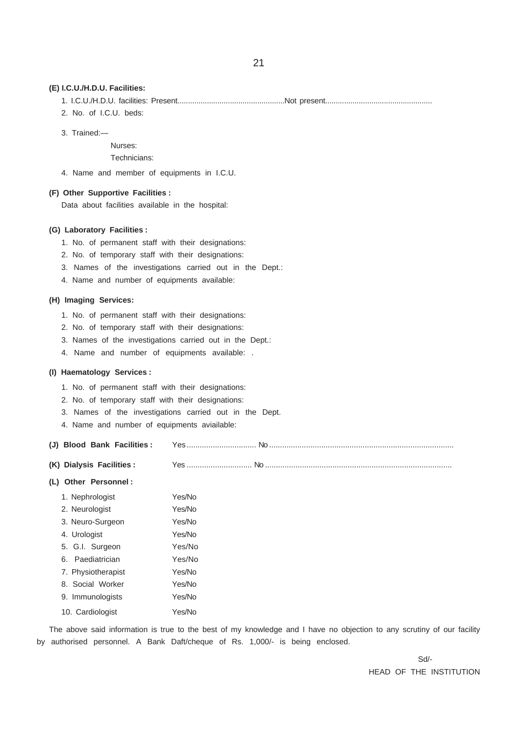#### **(E) I.C.U./H.D.U. Facilities:**

- 1. I.C.U./H.D.U. facilities: Present...................................................Not present...................................................
- 2. No. of I.C.U. beds:
- 3. Trained:—

Nurses:

Technicians:

4. Name and member of equipments in I.C.U.

#### **(F) Other Supportive Facilities :**

Data about facilities available in the hospital:

#### **(G) Laboratory Facilities :**

- 1. No. of permanent staff with their designations:
- 2. No. of temporary staff with their designations:
- 3. Names of the investigations carried out in the Dept.:
- 4. Name and number of equipments available:

## **(H) Imaging Services:**

- 1. No. of permanent staff with their designations:
- 2. No. of temporary staff with their designations:
- 3. Names of the investigations carried out in the Dept.:
- 4. Name and number of equipments available: .

## **(I) Haematology Services :**

- 1. No. of permanent staff with their designations:
- 2. No. of temporary staff with their designations:
- 3. Names of the investigations carried out in the Dept.
- 4. Name and number of equipments aviailable:

| (J) Blood Bank Facilities: |  |  |
|----------------------------|--|--|
|                            |  |  |

**(K) Dialysis Facilities :** Yes .............................. No ......................................................................................

#### **(L) Other Personnel :**

| 1. Nephrologist            | Yes/No |  |  |  |
|----------------------------|--------|--|--|--|
| 2. Neurologist             | Yes/No |  |  |  |
| 3. Neuro-Surgeon           | Yes/No |  |  |  |
| 4. Urologist               | Yes/No |  |  |  |
| 5. G.I. Surgeon            | Yes/No |  |  |  |
| 6. Paediatrician           | Yes/No |  |  |  |
| 7. Physiotherapist         | Yes/No |  |  |  |
| 8. Social Worker           | Yes/No |  |  |  |
| 9. Immunologists           | Yes/No |  |  |  |
| 10. Cardiologist<br>Yes/No |        |  |  |  |

The above said information is true to the best of my knowledge and I have no objection to any scrutiny of our facility by authorised personnel. A Bank Daft/cheque of Rs. 1,000/- is being enclosed.